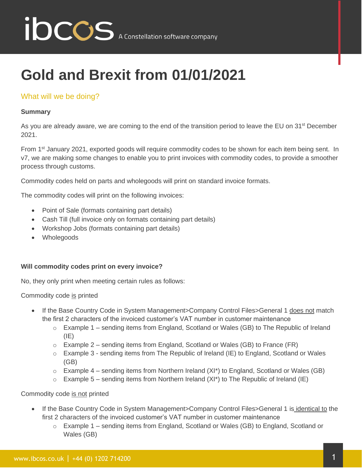

# **Gold and Brexit from 01/01/2021**

### What will we be doing?

#### **Summary**

As you are already aware, we are coming to the end of the transition period to leave the EU on 31<sup>st</sup> December 2021.

From 1<sup>st</sup> January 2021, exported goods will require commodity codes to be shown for each item being sent. In v7, we are making some changes to enable you to print invoices with commodity codes, to provide a smoother process through customs.

Commodity codes held on parts and wholegoods will print on standard invoice formats.

The commodity codes will print on the following invoices:

- Point of Sale (formats containing part details)
- Cash Till (full invoice only on formats containing part details)
- Workshop Jobs (formats containing part details)
- Wholegoods

#### **Will commodity codes print on every invoice?**

No, they only print when meeting certain rules as follows:

Commodity code is printed

- If the Base Country Code in System Management>Company Control Files>General 1 does not match the first 2 characters of the invoiced customer's VAT number in customer maintenance
	- $\circ$  Example 1 sending items from England, Scotland or Wales (GB) to The Republic of Ireland  $(IE)$
	- $\circ$  Example 2 sending items from England, Scotland or Wales (GB) to France (FR)
	- o Example 3 sending items from The Republic of Ireland (IE) to England, Scotland or Wales (GB)
	- $\circ$  Example 4 sending items from Northern Ireland (XI\*) to England, Scotland or Wales (GB)
	- $\circ$  Example 5 sending items from Northern Ireland (XI\*) to The Republic of Ireland (IE)

Commodity code is not printed

- If the Base Country Code in System Management>Company Control Files>General 1 is identical to the first 2 characters of the invoiced customer's VAT number in customer maintenance
	- o Example 1 sending items from England, Scotland or Wales (GB) to England, Scotland or Wales (GB)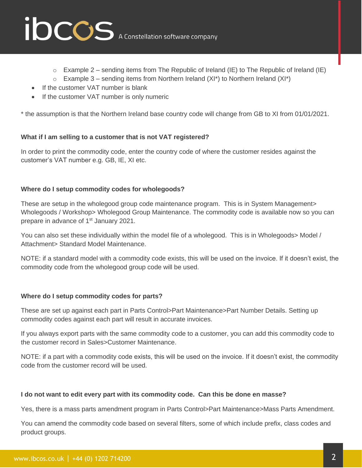

- $\circ$  Example 2 sending items from The Republic of Ireland (IE) to The Republic of Ireland (IE)
- $\circ$  Example 3 sending items from Northern Ireland (XI<sup>\*</sup>) to Northern Ireland (XI<sup>\*</sup>)
- If the customer VAT number is blank
- If the customer VAT number is only numeric

\* the assumption is that the Northern Ireland base country code will change from GB to XI from 01/01/2021.

#### **What if I am selling to a customer that is not VAT registered?**

In order to print the commodity code, enter the country code of where the customer resides against the customer's VAT number e.g. GB, IE, XI etc.

#### **Where do I setup commodity codes for wholegoods?**

These are setup in the wholegood group code maintenance program. This is in System Management> Wholegoods / Workshop> Wholegood Group Maintenance. The commodity code is available now so you can prepare in advance of 1<sup>st</sup> January 2021.

You can also set these individually within the model file of a wholegood. This is in Wholegoods> Model / Attachment> Standard Model Maintenance.

NOTE: if a standard model with a commodity code exists, this will be used on the invoice. If it doesn't exist, the commodity code from the wholegood group code will be used.

#### **Where do I setup commodity codes for parts?**

These are set up against each part in Parts Control>Part Maintenance>Part Number Details. Setting up commodity codes against each part will result in accurate invoices.

If you always export parts with the same commodity code to a customer, you can add this commodity code to the customer record in Sales>Customer Maintenance.

NOTE: if a part with a commodity code exists, this will be used on the invoice. If it doesn't exist, the commodity code from the customer record will be used.

#### **I do not want to edit every part with its commodity code. Can this be done en masse?**

Yes, there is a mass parts amendment program in Parts Control>Part Maintenance>Mass Parts Amendment.

You can amend the commodity code based on several filters, some of which include prefix, class codes and product groups.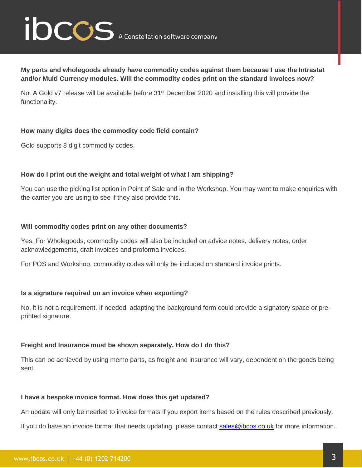# ibccos A Constellation software company

**My parts and wholegoods already have commodity codes against them because I use the Intrastat and/or Multi Currency modules. Will the commodity codes print on the standard invoices now?**

No. A Gold v7 release will be available before 31<sup>st</sup> December 2020 and installing this will provide the functionality.

#### **How many digits does the commodity code field contain?**

Gold supports 8 digit commodity codes.

#### **How do I print out the weight and total weight of what I am shipping?**

You can use the picking list option in Point of Sale and in the Workshop. You may want to make enquiries with the carrier you are using to see if they also provide this.

#### **Will commodity codes print on any other documents?**

Yes. For Wholegoods, commodity codes will also be included on advice notes, delivery notes, order acknowledgements, draft invoices and proforma invoices.

For POS and Workshop, commodity codes will only be included on standard invoice prints.

#### **Is a signature required on an invoice when exporting?**

No, it is not a requirement. If needed, adapting the background form could provide a signatory space or preprinted signature.

#### **Freight and Insurance must be shown separately. How do I do this?**

This can be achieved by using memo parts, as freight and insurance will vary, dependent on the goods being sent.

#### **I have a bespoke invoice format. How does this get updated?**

An update will only be needed to invoice formats if you export items based on the rules described previously.

If you do have an invoice format that needs updating, please contact [sales@ibcos.co.uk](mailto:sales@ibcos.co.uk) for more information.